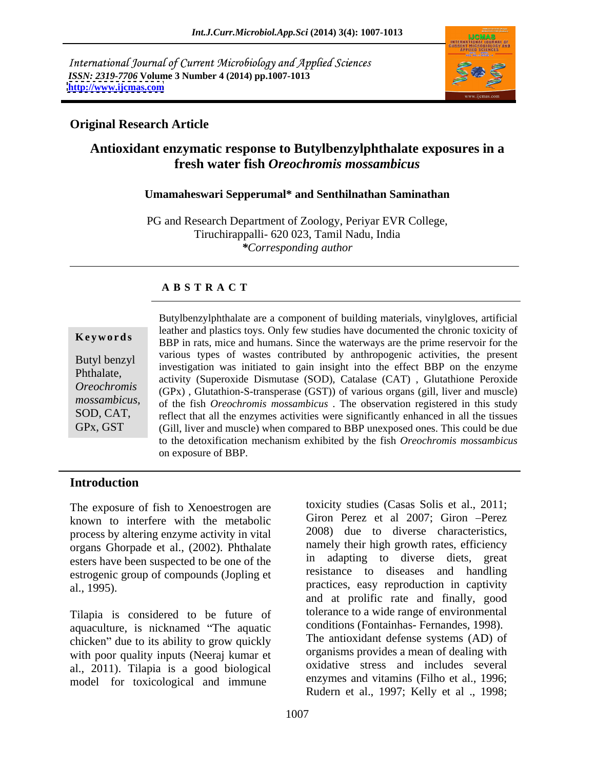International Journal of Current Microbiology and Applied Sciences *ISSN: 2319-7706* Volume 3 Number 4 (2014) pp.1007-1013<br>http://www.ijcmas.com **<http://www.ijcmas.com>**



### **Original Research Article**

# **Antioxidant enzymatic response to Butylbenzylphthalate exposures in a fresh water fish** *Oreochromis mossambicus*

### **Umamaheswari Sepperumal\* and Senthilnathan Saminathan**

PG and Research Department of Zoology, Periyar EVR College, Tiruchirappalli- 620 023, Tamil Nadu, India *\*Corresponding author*

### **A B S T R A C T**

**Keywords** BBP in rats, mice and humans. Since the waterways are the prime reservoir for the Butyl benzyl various types of wastes contributed by anthropogenic activities, the present Phthalate,<br> *Oreochromis* activity (Superoxide Dismutase (SOD), Catalase (CAT), Glutathione Peroxide<br> *Oreochromis* (GPx), Glutathion-S-transperase (GST)) of various organs (gill liver and muscle) *mossambicus*, of the fish *Oreochromis mossambicus*. The observation registered in this study reflect that all the enzymes activities were significantly enhanced in all the tissues GPx, GST (Gill, liver and muscle) when compared to BBP unexposed ones. This could be due Butylbenzylphthalate are a component of building materials, vinylgloves, artificial leather and plastics toys. Only few studies have documented the chronic toxicity of investigation was initiated to gain insight into the effect BBP on the enzyme (GPx) , Glutathion-S-transperase (GST)) of various organs (gill, liver and muscle) reflect that all the enzymes activities were significantly enhanced in all the tissues to the detoxification mechanism exhibited by the fish *Oreochromis mossambicus* on exposure of BBP.

## **Introduction**

The exposure of fish to Xenoestrogen are known to interfere with the metabolic process by altering enzyme activity in vital organs Ghorpade et al., (2002). Phthalate esters have been suspected to be one of the estrogenic group of compounds (Jopling et

Tilapia is considered to be future of aquaculture, is nicknamed "The aquatic chicken" due to its ability to grow quickly with poor quality inputs (Neeraj kumar et al., 2011). Tilapia is a good biological model for toxicological and immune

al., 1995). practices, easy reproduction in captivity toxicity studies (Casas Solis et al., 2011; Giron Perez et al 2007; Giron -Perez 2008) due to diverse characteristics, namely their high growth rates, efficiency in adapting to diverse diets, great resistance to diseases and handling and at prolific rate and finally, good tolerance to a wide range of environmental conditions (Fontainhas- Fernandes, 1998). The antioxidant defense systems (AD) of organisms provides a mean of dealing with oxidative stress and includes several enzymes and vitamins (Filho et al., 1996; Rudern et al., 1997; Kelly et al ., 1998;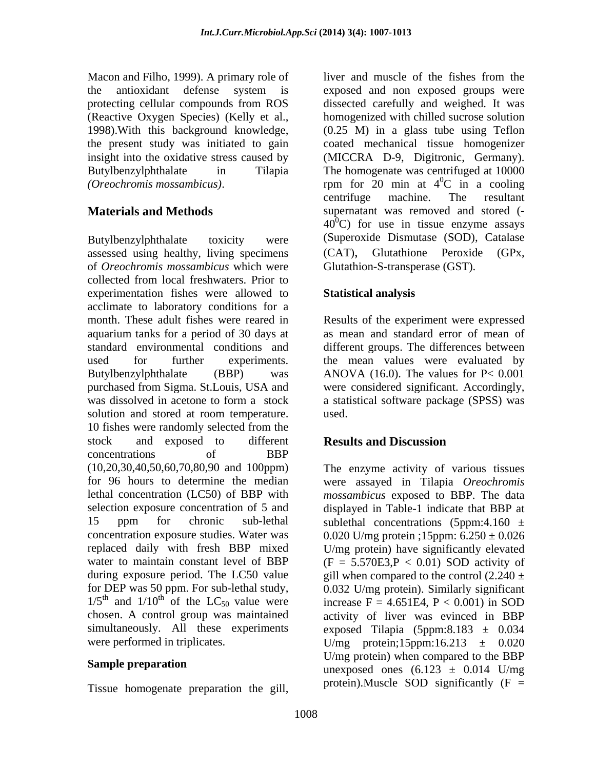Macon and Filho, 1999). A primary role of liver and muscle of the fishes from the the present study was initiated to gain

assessed using healthy, living specimens (CAT), Glutathione Peroxide (GPx, of *Oreochromis mossambicus* which were collected from local freshwaters. Prior to experimentation fishes were allowed to **Statistical analysis** acclimate to laboratory conditions for a month. These adult fishes were reared in Results of the experiment were expressed aquarium tanks for a period of 30 days at standard environmental conditions and different groups. The differences between used for further experiments. the mean values were evaluated by Butylbenzylphthalate (BBP) was ANOVA (16.0). The values for P< 0.001 purchased from Sigma. St.Louis, USA and were considered significant. Accordingly, was dissolved in acetone to form a stock a statistical software package (SPSS) was solution and stored at room temperature. used. 10 fishes were randomly selected from the stock and exposed to different **Results and Discussion** concentrations of BBP (10,20,30,40,50,60,70,80,90 and 100ppm) simultaneously. All these experiments

Tissue homogenate preparation the gill,

the antioxidant defense system is exposed and non exposed groups were protecting cellular compounds from ROS dissected carefully and weighed. It was (Reactive Oxygen Species) (Kelly et al., homogenized with chilled sucrose solution 1998).With this background knowledge, (0.25 M) in a glass tube using Teflon insight into the oxidative stress caused by (MICCRA D-9, Digitronic, Germany). Butylbenzylphthalate in Tilapia The homogenate was centrifuged at 10000 (*Oreochromis mossambicus*). The rpm for 20 min at 4<sup>o</sup>C in a cooling **Materials and Methods** supernatant was removed and stored (- Butylbenzylphthalate toxicity were (Superoxide Dismutase (SOD), Catalase liver and muscle of the fishes from the coated mechanical tissue homogenizer  ${}^{0}C$  in a cooling centrifuge machine. The resultant  $40^{\circ}$ C) for use in tissue enzyme assays (CAT), Glutathione Peroxide (GPx, Glutathion-S-transperase (GST).

## **Statistical analysis**

as mean and standard error of mean of used. The contract of the contract of the contract of the contract of the contract of the contract of the contract of the contract of the contract of the contract of the contract of the contract of the contract of the cont

## **Results and Discussion**

for 96 hours to determine the median were assayed in Tilapia *Oreochromis*  lethal concentration (LC50) of BBP with *mossambicus* exposed to BBP. The data selection exposure concentration of 5 and displayed in Table-1 indicate that BBP at 15 ppm for chronic sub-lethal sublethal concentrations (5ppm:4.160  $\pm$ concentration exposure studies. Water was  $0.020$  U/mg protein ;15ppm:  $6.250 \pm 0.026$ replaced daily with fresh BBP mixed U/mg protein) have significantly elevated water to maintain constant level of BBP  $(F = 5.570E3, P < 0.01)$  SOD activity of during exposure period. The LC50 value  $\qquad$  gill when compared to the control (2.240  $\pm$ for DEP was 50 ppm. For sub-lethal study, 0.032 U/mg protein). Similarly significant  $1/5$ <sup>th</sup> and  $1/10$ <sup>th</sup> of the LC<sub>50</sub> value were increase F = 4.651E4, P < 0.001) in SOD and  $1/10^{th}$  of the LC<sub>50</sub> value were increase F = 4.651E4, P < 0.001) in SOD chosen. A control group was maintained activity of liver was evinced in BBP were performed in triplicates. U/mg protein;15ppm:16.213  $\pm$  0.020 **Sample preparation**<br>meyroosed ones (6.123 + 0.014 U/mo The enzyme activity of various tissues exposed Tilapia (5ppm:8.183  $\pm$  0.034 U/mg protein) when compared to the BBP unexposed ones  $(6.123 \pm 0.014 \text{ U/mg})$ protein). Muscle SOD significantly  $(F =$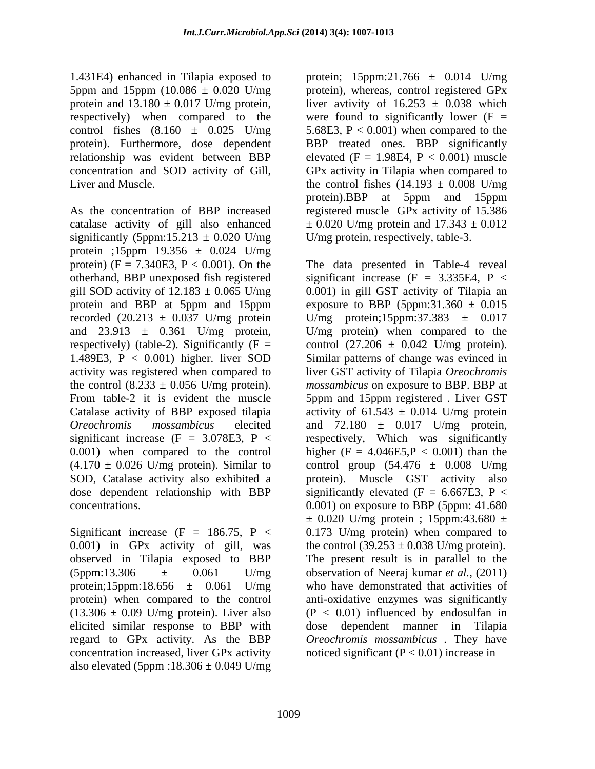5ppm and 15ppm (10.086  $\pm$  0.020 U/mg protein and  $13.180 \pm 0.017$  U/mg protein,

As the concentration of BBP increased registered muscle GPx activity of 15.386 catalase activity of gill also enhanced significantly (5ppm:15.213  $\pm$  0.020 U/mg protein ;15ppm 19.356 ± 0.024 U/mg protein)  $(F = 7.340E3, P < 0.001)$ . On the The data presented in Table-4 reveal recorded  $(20.213 \pm 0.037 \text{ U/mg}$  protein

0.001) in GPx activity of gill, was observed in Tilapia exposed to BBP elicited similar response to BBP with dose dependent manner in Tilapia regard to GPx activity. As the BBP also elevated (5ppm :18.306  $\pm$  0.049 U/mg

1.431E4) enhanced in Tilapia exposed to protein; 15ppm:21.766 ± 0.014 U/mg respectively) when compared to the were found to significantly lower (F = control fishes  $(8.160 \pm 0.025 \text{ U/mg})$  5.68E3, P < 0.001) when compared to the protein). Furthermore, dose dependent BBP treated ones. BBP significantly relationship was evident between BBP elevated  $(F = 1.98E4, P < 0.001)$  muscle concentration and SOD activity of Gill, GPx activity in Tilapia when compared to Liver and Muscle.  $\mu$  the control fishes  $(14.193 \pm 0.008 \text{ U/mg})$ protein), whereas, control registered GPx liver avtivity of  $16.253 \pm 0.038$  which protein).BBP at 5ppm and 15ppm  $\pm$  0.020 U/mg protein and 17.343  $\pm$  0.012 U/mg protein, respectively, table-3.

otherhand, BBP unexposed fish registered significant increase (F = 3.335E4, P < gill SOD activity of  $12.183 \pm 0.065$  U/mg  $\qquad 0.001$ ) in gill GST activity of Tilapia an protein and BBP at 5ppm and 15ppm exposure to BBP (5ppm:31.360  $\pm$  0.015 and  $23.913 \pm 0.361$  U/mg protein, U/mg protein) when compared to the respectively) (table-2). Significantly ( $F =$  control (27.206  $\pm$  0.042 U/mg protein). 1.489E3, P < 0.001) higher. liver SOD Similar patterns of change was evinced in activity was registered when compared to liver GST activity of Tilapia *Oreochromis*  the control (8.233 ± 0.056 U/mg protein). *mossambicus* on exposure to BBP. BBP at From table-2 it is evident the muscle 5ppm and 15ppm registered . Liver GST Catalase activity of BBP exposed tilapia activity of  $61.543 \pm 0.014$  U/mg protein *Oreochromis mossambicus* elecited and 72.180 ± 0.017 U/mg protein, significant increase  $(F = 3.078E3, P <$  respectively, Which was significantly 0.001) when compared to the control higher  $(F = 4.046E5, P < 0.001)$  than the  $(4.170 \pm 0.026)$  U/mg protein). Similar to control group  $(54.476 \pm 0.008)$  U/mg SOD, Catalase activity also exhibited a protein). Muscle GST activity also dose dependent relationship with BBP significantly elevated  $(F = 6.667E3, P <$ concentrations. 0.001) on exposure to BBP (5ppm: 41.680 Significant increase  $(F = 186.75, P < 0.173$  U/mg protein) when compared to  $(5ppm:13.306 \t\t \pm \t 0.061 \t\t U/mg$  observation of Neeraj kumar *et al.*, (2011) protein;15ppm:18.656  $\pm$  0.061 U/mg who have demonstrated that activities of protein) when compared to the control anti-oxidative enzymes was significantly  $(13.306 \pm 0.09)$  U/mg protein). Liver also  $(P < 0.01)$  influenced by endosulfan in concentration increased, liver GPx activity noticed significant  $(P < 0.01)$  increase in U/mg protein;15ppm:37.383  $\pm$  0.017  $\pm$  0.020 U/mg protein ; 15ppm:43.680  $\pm$ the control  $(39.253 \pm 0.038 \text{ U/mg protein})$ . The present result is in parallel to the dose dependent manner in *Oreochromis mossambicus* . They have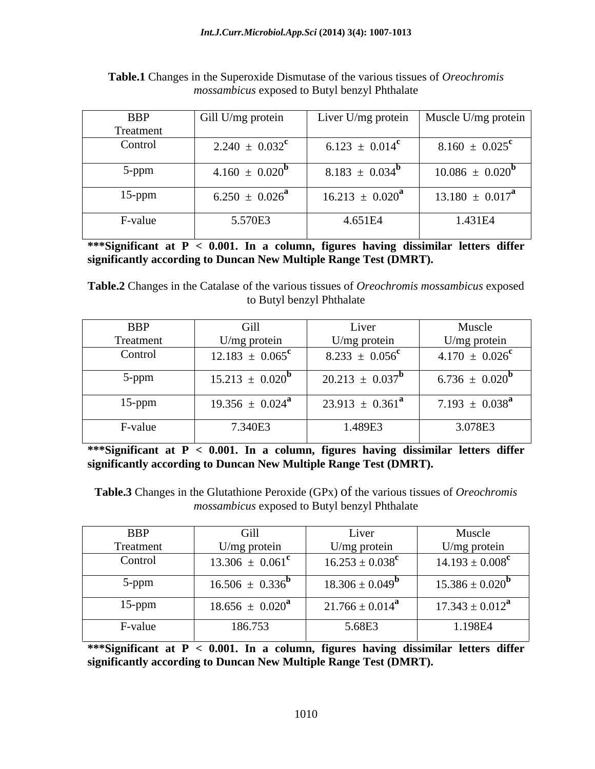| <b>BBP</b> | Gill U/mg protein         |                                | Liver U/mg protein   Muscle U/mg protein |
|------------|---------------------------|--------------------------------|------------------------------------------|
| Treatment  |                           |                                |                                          |
| Control    | $2.240 \pm 0.032^{\rm c}$ | 6.123 $\pm$ 0.014 <sup>c</sup> | $8.160 \pm 0.025^{\rm c}$                |
| 5-ppm      | $4.160 \pm 0.020^{\rm o}$ | $8.183 \pm 0.034^{\mathrm{D}}$ | $10.086 \pm 0.020^{\rm b}$               |
| $15$ -ppm  | $6.250 \pm 0.026^4$       | $16.213 \pm 0.020^2$           | $13.180 \pm 0.017^{\mathrm{a}}$          |
| F-value    | 5.570E3                   | 4.651E4                        | 1.431E4                                  |

**Table.1** Changes in the Superoxide Dismutase of the various tissues of *Oreochromis mossambicus* exposed to Butyl benzyl Phthalate

**\*\*\*Significant at P < 0.001. In a column, figures having dissimilar letters differ significantly according to Duncan New Multiple Range Test (DMRT).**

**Table.2** Changes in the Catalase of the various tissues of *Oreochromis mossambicus* exposed to Butyl benzyl Phthalate

| <b>BBP</b> | Gill                            | Liver                           | Muscle                         |
|------------|---------------------------------|---------------------------------|--------------------------------|
| Treatment  | U/mg protein                    | U/mg protein                    | U/mg protein                   |
| Control    | $12.183 \pm 0.065^{\circ}$      | $8.233 \pm 0.056^{\circ}$       | $4.170 \pm 0.026^{\circ}$      |
| 5-ppm      | $15.213 \pm 0.020^{\circ}$      | $20.213 \pm 0.037^{\circ}$      | 6.736 $\pm$ 0.020 <sup>b</sup> |
| $15$ -ppm  | $19.356 \pm 0.024^{\mathrm{a}}$ | $23.913 \pm 0.361^{\mathrm{a}}$ | $7.193 \pm 0.038^{\text{a}}$   |
| F-value    | 7.340E3                         | 1.489E3                         | 3.078E3                        |

**\*\*\*Significant at P < 0.001. In a column, figures having dissimilar letters differ significantly according to Duncan New Multiple Range Test (DMRT).**

**Table.3** Changes in the Glutathione Peroxide (GPx) of the various tissues of *Oreochromis mossambicus* exposed to Butyl benzyl Phthalate

| <b>BBP</b> | - G1h                           | Liver                      | Muscle                     |
|------------|---------------------------------|----------------------------|----------------------------|
| Treatment  | U/mg protein                    | U/mg protein               | U/mg protein               |
| Control    | $13.306 \pm 0.061^{\circ}$      | $16.253 \pm 0.038^{\rm c}$ | $14.193 \pm 0.008^{\rm c}$ |
| 5-ppm      | $16.506 \pm 0.336^{\mathrm{D}}$ | $18.306 \pm 0.049^{\circ}$ | $15.386 \pm 0.020^{\rm b}$ |
| $15$ -ppm  | $18.656 \pm 0.020^{\mathrm{a}}$ | $21.766 \pm 0.014^{\rm a}$ | $17.343 \pm 0.012^{\rm a}$ |
| F-value    | 186.753                         | 5.68E3                     | 1.198E4                    |

**\*\*\*Significant at P < 0.001. In a column, figures having dissimilar letters differ significantly according to Duncan New Multiple Range Test (DMRT).**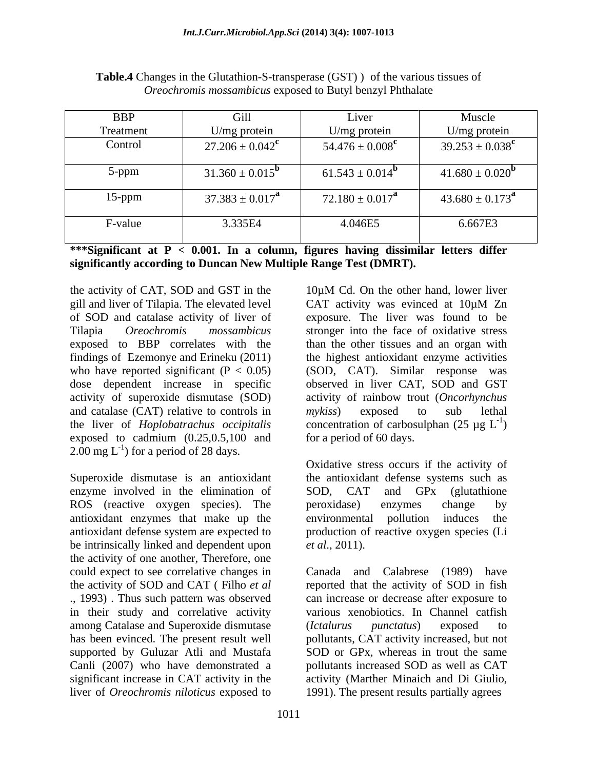| <b>BBP</b> | Gill                       | Liver                           | Muscle                          |
|------------|----------------------------|---------------------------------|---------------------------------|
| Treatment  | U/mg protein               | U/mg protein                    | $U/mg$ protein                  |
| Control    | $27.206 \pm 0.042^{\rm c}$ | 54.476 $\pm 0.008^{\rm c}$      | $39.253 \pm 0.038^{\rm c}$      |
| 5-ppm      | $31.360 \pm 0.015^{\rm b}$ | $61.543 \pm 0.014^{\mathrm{D}}$ | $41.680 \pm 0.020^{\rm b}$      |
| $15$ -ppm  | $37.383 \pm 0.017^{\rm a}$ | $72.180 \pm 0.017^{\rm a}$      | $43.680 \pm 0.173^{\mathrm{a}}$ |
| F-value    | 3.335E4                    | 4.046E5                         | 6.667E3                         |

**Table.4** Changes in the Glutathion-S-transperase (GST) ) of the various tissues of *Oreochromis mossambicus* exposed to Butyl benzyl Phthalate

**\*\*\*Significant at P < 0.001. In a column, figures having dissimilar letters differ significantly according to Duncan New Multiple Range Test (DMRT).**

the activity of CAT, SOD and GST in the 10<sup>u</sup>M Cd. On the other hand, lower liver gill and liver of Tilapia. The elevated level  $CAT$  activity was evinced at  $10\mu M Zn$ exposed to BBP correlates with the findings of Ezemonye and Erineku (2011) and catalase (CAT) relative to controls in *mykiss*) exposed to sub lethal exposed to cadmium (0.25,0.5,100 and  $2.00 \text{ mg L}^{-1}$ ) for a period of 28 days.

Superoxide dismutase is an antioxidant the antioxidant defense systems such as enzyme involved in the elimination of SOD, CAT and GPx (glutathione ROS (reactive oxygen species). The peroxidase) enzymes change by antioxidant enzymes that make up the antioxidant defense system are expected to be intrinsically linked and dependent upon *et al.*, 2011). the activity of one another, Therefore, one in their study and correlative activity among Catalase and Superoxide dismutase (Ictalurus punctatus) exposed to Canli (2007) who have demonstrated a liver of *Oreochromis niloticus* exposed to

of SOD and catalase activity of liver of exposure. The liver was found to be Tilapia *Oreochromis mossambicus* stronger into the face of oxidative stress who have reported significant  $(P < 0.05)$  (SOD, CAT). Similar response was dose dependent increase in specific observed in liver CAT, SOD and GST activity of superoxide dismutase (SOD) activity of rainbow trout (*Oncorhynchus*  the liver of *Hoplobatrachus occipitalis* concentration of carbosulphan (25 µg L 10µM Cd. On the other hand, lower liver CAT activity was evinced at 10µM Zn than the other tissues and an organ with the highest antioxidant enzyme activities *mykiss*) exposed to sub lethal  $-1$  $)$ for a period of 60 days.

> Oxidative stress occurs if the activity of SOD, CAT and GPx (glutathione peroxidase) enzymes change by environmental pollution induces the production of reactive oxygen species (Li *et al*., 2011).

could expect to see correlative changes in Canada and Calabrese (1989) have the activity of SOD and CAT ( Filho *et al* reported that the activity of SOD in fish ., 1993) . Thus such pattern was observed can increase or decrease after exposure to has been evinced. The present result well pollutants, CAT activity increased, but not supported by Guluzar Atli and Mustafa SOD or GPx, whereas in trout the same significant increase in CAT activity in the activity (Marther Minaich and Di Giulio, various xenobiotics. In Channel catfish (*Ictalurus punctatus*) exposed to pollutants increased SOD as well as CAT 1991). The present results partially agrees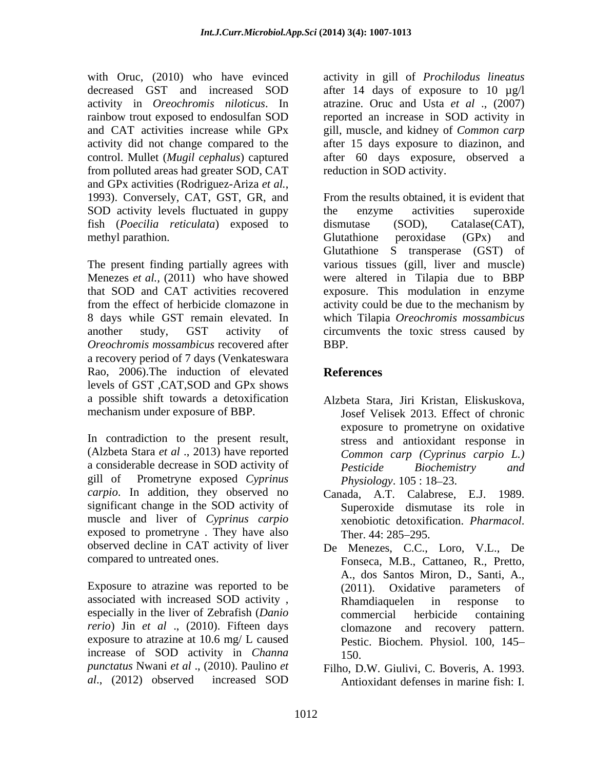with Oruc, (2010) who have evinced activity in gill of *Prochilodus lineatus* decreased GST and increased SOD after 14 days of exposure to 10 µg/l activity in *Oreochromis niloticus*. In rainbow trout exposed to endosulfan SOD reported an increase in SOD activity in and CAT activities increase while GPx gill, muscle, and kidney of *Common carp* activity did not change compared to the after 15 days exposure to diazinon, and control. Mullet (*Mugil cephalus*) captured after 60 days exposure, observed a from polluted areas had greater SOD, CAT and GPx activities (Rodriguez-Ariza *et al.*,<br>1993). Conversely, CAT, GST, GR, and From the results obtained, it is evident that SOD activity levels fluctuated in guppy the enzyme activities superoxide fish (*Poecilia reticulata*) exposed to methyl parathion. **Example 2** Glutathione peroxidase (GPx) and

*Oreochromis mossambicus* recovered after a recovery period of 7 days (Venkateswara Rao, 2006). The induction of elevated References levels of GST ,CAT,SOD and GPx shows a possible shift towards a detoxification Alzbeta Stara, Jiri Kristan, Eliskuskova,

In contradiction to the present result,<br>
(Alzbeta Stara *et al* ., 2013) have reported Common carp (Cyprinus carpio L.) a considerable decrease in SOD activity of *Pesticide Biochemistry* and gill of Prometryne exposed *Cyprinus carpio*. In addition, they observed no significant change in the SOD activity of muscle and liver of *Cyprinus carpio* exposed to prometryne. They have also Ther. 44: 285–295. observed decline in CAT activity of liver De Menezes, C.C., Loro, V.L., De

Exposure to atrazine was reported to be (2011). Oxidative parameters of associated with increased SOD activity , especially in the liver of Zebrafish (*Danio rerio*) Jin *et al* ., (2010). Fifteen days exposure to atrazine at 10.6 mg/ L caused increase of SOD activity in *Channa punctatus* Nwani *et al* ., (2010). Paulino *et*  Filho, D.W. Giulivi, C. Boveris, A. 1993.

atrazine. Oruc and Usta *et al* ., (2007) reduction in SOD activity.

The present finding partially agrees with various tissues (gill, liver and muscle) Menezes *et al.,* (2011) who have showed were altered in Tilapia due to BBP that SOD and CAT activities recovered exposure. This modulation in enzyme from the effect of herbicide clomazone in activity could be due to the mechanism by 8 days while GST remain elevated. In which Tilapia *Oreochromis mossambicus* another study, GST activity of circumvents the toxic stress caused by From the results obtained, it is evident that the enzyme activities superoxide dismutase (SOD), Catalase(CAT), Glutathione peroxidase (GPx) and Glutathione S transperase (GST) of BBP.

# **References**

- mechanism under exposure of BBP. Josef Velisek 2013. Effect of chronic exposure to prometryne on oxidative stress and antioxidant response in *Common carp (Cyprinus carpio L.) Pesticide Biochemistry and Physiology.* 105 : 18–23.
	- Canada, A.T. Calabrese, E.J. 1989. Superoxide dismutase its role in xenobiotic detoxification. *Pharmacol*.<br>Ther. 44: 285–295.
- compared to untreated ones. Fonseca, M.B., Cattaneo, R., Pretto, A., dos Santos Miron, D., Santi, A., (2011). Oxidative parameters of Rhamdiaquelen in response to commercial herbicide containing clomazone and recovery pattern. Pestic. Biochem. Physiol. 100, 145 150.
- *al*., (2012) observed increased SOD Antioxidant defenses in marine fish: I.